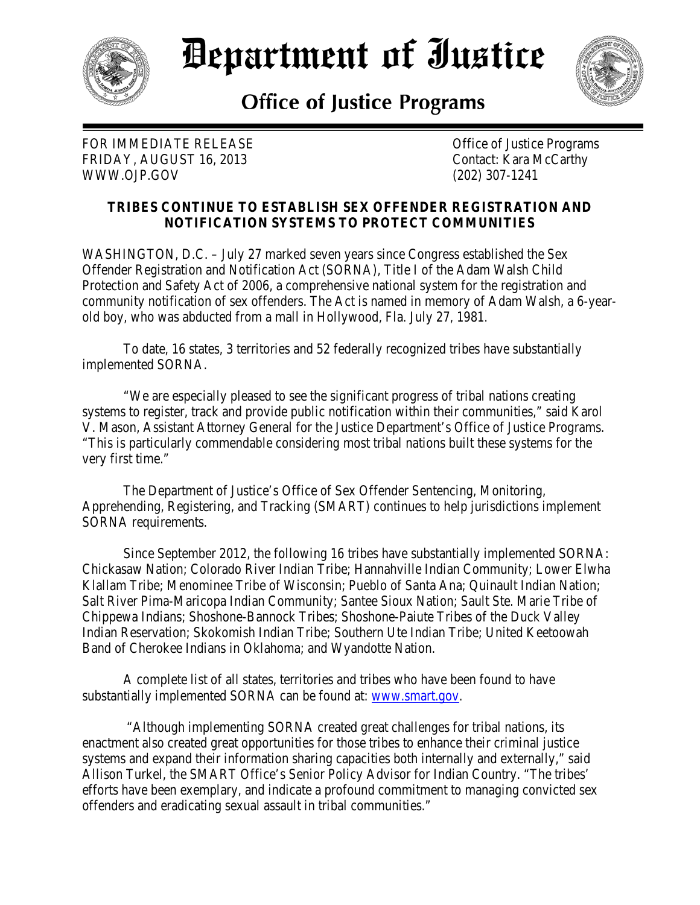

## Department of Iustice



## **Office of Justice Programs**

FOR IMMEDIATE RELEASE **Set Contains the Contract Office** of Justice Programs FRIDAY, AUGUST 16, 2013 Contact: Kara McCarthy WWW.OJP.GOV (202) 307-1241

## **TRIBES CONTINUE TO ESTABLISH SEX OFFENDER REGISTRATION AND NOTIFICATION SYSTEMS TO PROTECT COMMUNITIES**

WASHINGTON, D.C. – July 27 marked seven years since Congress established the Sex Offender Registration and Notification Act (SORNA), Title I of the Adam Walsh Child Protection and Safety Act of 2006, a comprehensive national system for the registration and community notification of sex offenders. The Act is named in memory of Adam Walsh, a 6-yearold boy, who was abducted from a mall in Hollywood, Fla. July 27, 1981.

To date, 16 states, 3 territories and 52 federally recognized tribes have substantially implemented SORNA.

"We are especially pleased to see the significant progress of tribal nations creating systems to register, track and provide public notification within their communities," said Karol V. Mason, Assistant Attorney General for the Justice Department's Office of Justice Programs. "This is particularly commendable considering most tribal nations built these systems for the very first time."

 The Department of Justice's Office of Sex Offender Sentencing, Monitoring, Apprehending, Registering, and Tracking (SMART) continues to help jurisdictions implement SORNA requirements.

 Since September 2012, the following 16 tribes have substantially implemented SORNA: Chickasaw Nation; Colorado River Indian Tribe; Hannahville Indian Community; Lower Elwha Klallam Tribe; Menominee Tribe of Wisconsin; Pueblo of Santa Ana; Quinault Indian Nation; Salt River Pima-Maricopa Indian Community; Santee Sioux Nation; Sault Ste. Marie Tribe of Chippewa Indians; Shoshone-Bannock Tribes; Shoshone-Paiute Tribes of the Duck Valley Indian Reservation; Skokomish Indian Tribe; Southern Ute Indian Tribe; United Keetoowah Band of Cherokee Indians in Oklahoma; and Wyandotte Nation.

A complete list of all states, territories and tribes who have been found to have substantially implemented SORNA can be found at: [www.smart.gov.](http://www.smart.gov/)

 "Although implementing SORNA created great challenges for tribal nations, its enactment also created great opportunities for those tribes to enhance their criminal justice systems and expand their information sharing capacities both internally and externally," said Allison Turkel, the SMART Office's Senior Policy Advisor for Indian Country. "The tribes' efforts have been exemplary, and indicate a profound commitment to managing convicted sex offenders and eradicating sexual assault in tribal communities."